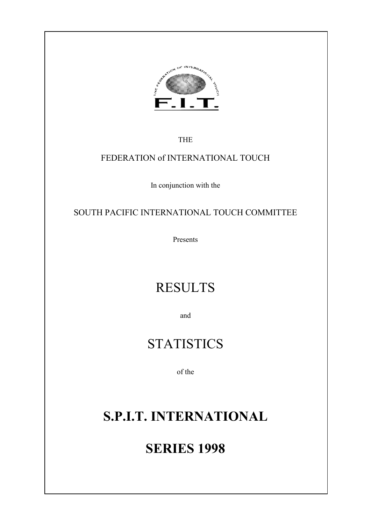

THE

### FEDERATION of INTERNATIONAL TOUCH

In conjunction with the

SOUTH PACIFIC INTERNATIONAL TOUCH COMMITTEE

Presents

# RESULTS

and

# **STATISTICS**

of the

# **S.P.I.T. INTERNATIONAL**

# **SERIES 1998**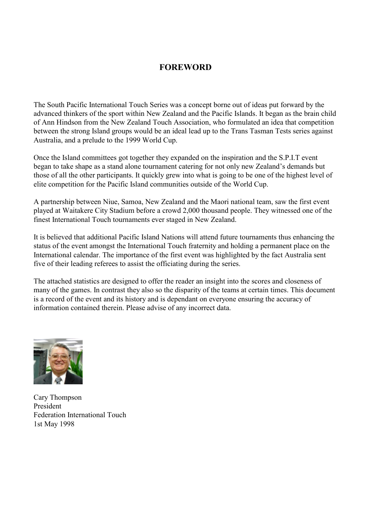### **FOREWORD**

The South Pacific International Touch Series was a concept borne out of ideas put forward by the advanced thinkers of the sport within New Zealand and the Pacific Islands. It began as the brain child of Ann Hindson from the New Zealand Touch Association, who formulated an idea that competition between the strong Island groups would be an ideal lead up to the Trans Tasman Tests series against Australia, and a prelude to the 1999 World Cup.

Once the Island committees got together they expanded on the inspiration and the S.P.I.T event began to take shape as a stand alone tournament catering for not only new Zealand's demands but those of all the other participants. It quickly grew into what is going to be one of the highest level of elite competition for the Pacific Island communities outside of the World Cup.

A partnership between Niue, Samoa, New Zealand and the Maori national team, saw the first event played at Waitakere City Stadium before a crowd 2,000 thousand people. They witnessed one of the finest International Touch tournaments ever staged in New Zealand.

It is believed that additional Pacific Island Nations will attend future tournaments thus enhancing the status of the event amongst the International Touch fraternity and holding a permanent place on the International calendar. The importance of the first event was highlighted by the fact Australia sent five of their leading referees to assist the officiating during the series.

The attached statistics are designed to offer the reader an insight into the scores and closeness of many of the games. In contrast they also so the disparity of the teams at certain times. This document is a record of the event and its history and is dependant on everyone ensuring the accuracy of information contained therein. Please advise of any incorrect data.



Cary Thompson President Federation International Touch 1st May 1998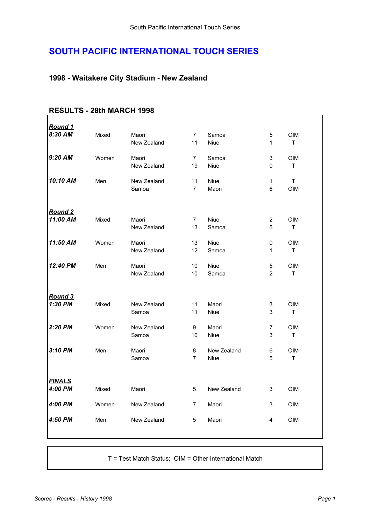### **SOUTH PACIFIC INTERNATIONAL TOUCH SERIES**

#### **1998 - Waitakere City Stadium - New Zealand**

| <u>Round 1</u> |       |             |                |             |                |             |  |
|----------------|-------|-------------|----------------|-------------|----------------|-------------|--|
| 8:30 AM        | Mixed | Maori       | 7              | Samoa       | 5              | <b>OIM</b>  |  |
|                |       | New Zealand | 11             | Niue        | 1              | T           |  |
|                |       |             |                |             |                |             |  |
| 9:20 AM        | Women | Maori       | $\overline{7}$ | Samoa       | 3              | <b>OIM</b>  |  |
|                |       | New Zealand | 19             | Niue        | 0              | $\mathsf T$ |  |
|                |       |             |                |             |                |             |  |
| 10:10 AM       | Men   | New Zealand | 11             | Niue        | 1              | T.          |  |
|                |       | Samoa       | $\overline{7}$ | Maori       | 6              | OIM         |  |
|                |       |             |                |             |                |             |  |
|                |       |             |                |             |                |             |  |
| <b>Round 2</b> |       |             |                |             |                |             |  |
| 11:00 AM       | Mixed | Maori       | 7              | Niue        | $\overline{2}$ | <b>OIM</b>  |  |
|                |       | New Zealand | 13             | Samoa       | 5              | T           |  |
| 11:50 AM       | Women | Maori       | 13             | Niue        | 0              | <b>OIM</b>  |  |
|                |       | New Zealand | 12             | Samoa       | 1              | T           |  |
|                |       |             |                |             |                |             |  |
| 12:40 PM       | Men   | Maori       | 10             | Niue        | 5              | <b>OIM</b>  |  |
|                |       | New Zealand | 10             | Samoa       | $\overline{2}$ | $\mathsf T$ |  |
|                |       |             |                |             |                |             |  |
|                |       |             |                |             |                |             |  |
| <b>Round 3</b> |       |             |                |             |                |             |  |
| 1:30 PM        | Mixed | New Zealand | 11             | Maori       | 3              | <b>OIM</b>  |  |
|                |       | Samoa       | 11             | Niue        | 3              | $\mathsf T$ |  |
|                |       |             |                |             |                |             |  |
| 2:20 PM        | Women | New Zealand | 9              | Maori       | 7              | <b>OIM</b>  |  |
|                |       | Samoa       | 10             | Niue        | 3              | $\mathsf T$ |  |
| 3:10 PM        | Men   | Maori       | 8              | New Zealand | 6              | <b>OIM</b>  |  |
|                |       | Samoa       | $\overline{7}$ | Niue        | 5              | T           |  |
|                |       |             |                |             |                |             |  |
|                |       |             |                |             |                |             |  |
| <u>FINALS</u>  |       |             |                |             |                |             |  |
| 4:00 PM        | Mixed | Maori       | 5              | New Zealand | 3              | <b>OIM</b>  |  |
|                |       |             |                |             |                |             |  |
| 4:00 PM        | Women | New Zealand | $\overline{7}$ | Maori       | 3              | OIM         |  |
|                |       |             |                |             |                |             |  |
| 4:50 PM        | Men   | New Zealand | 5              | Maori       | 4              | OIM         |  |
|                |       |             |                |             |                |             |  |
|                |       |             |                |             |                |             |  |

#### **RESULTS - 28th MARCH 1998**

T = Test Match Status; OIM = Other International Match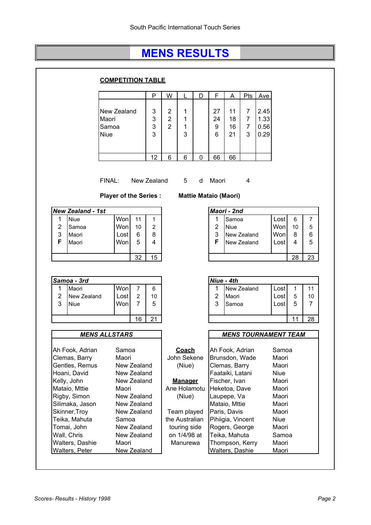### **MENS RESULTS**

|                                                                                                                    |                                                                 |                | <b>COMPETITION TABLE</b>                           |                                       |              |                                                                        |                                                               |   |                                                                                                                        |                                               |                                                    |                      |                                  |              |                            |
|--------------------------------------------------------------------------------------------------------------------|-----------------------------------------------------------------|----------------|----------------------------------------------------|---------------------------------------|--------------|------------------------------------------------------------------------|---------------------------------------------------------------|---|------------------------------------------------------------------------------------------------------------------------|-----------------------------------------------|----------------------------------------------------|----------------------|----------------------------------|--------------|----------------------------|
|                                                                                                                    |                                                                 |                |                                                    |                                       | Р            | W                                                                      |                                                               | D | F                                                                                                                      | A                                             | Pts                                                | Ave                  |                                  |              |                            |
|                                                                                                                    |                                                                 | Maori<br>Samoa | New Zealand                                        |                                       | 3<br>3<br>3  | 2<br>$\overline{2}$<br>$\overline{2}$                                  | 1<br>1<br>1                                                   |   | 27<br>24<br>9                                                                                                          | 11<br>18<br>16                                | $\overline{7}$<br>$\overline{7}$<br>$\overline{7}$ | 2.45<br>1.33<br>0.56 |                                  |              |                            |
|                                                                                                                    |                                                                 | Niue           |                                                    |                                       | 3            |                                                                        | 3                                                             |   | 6                                                                                                                      | 21                                            | 3                                                  | 0.29                 |                                  |              |                            |
|                                                                                                                    |                                                                 |                |                                                    |                                       | 12           | 6                                                                      | 6                                                             | 0 | 66                                                                                                                     | 66                                            |                                                    |                      |                                  |              |                            |
|                                                                                                                    |                                                                 | FINAL:         | <b>Player of the Series:</b>                       |                                       | New Zealand  |                                                                        | 5                                                             | d | Maori<br><b>Mattie Mataio (Maori)</b>                                                                                  |                                               | 4                                                  |                      |                                  |              |                            |
|                                                                                                                    | <b>New Zealand - 1st</b>                                        |                |                                                    |                                       |              |                                                                        |                                                               |   |                                                                                                                        | Maori - 2nd                                   |                                                    |                      |                                  |              |                            |
| 1<br>2<br>3                                                                                                        | <b>Niue</b><br>Samoa<br>Maori                                   |                | Won<br>Won<br>Lost                                 | 11<br>10<br>6                         | 1<br>2<br>8  |                                                                        |                                                               |   | 1<br>$\overline{2}$<br>3                                                                                               | Samoa<br><b>Niue</b>                          | New Zealand                                        |                      | Lost<br>Won<br>Won               | 6<br>10<br>8 | 7<br>5<br>6                |
| F                                                                                                                  | Maori                                                           |                | Won                                                | 5                                     | 4            |                                                                        |                                                               |   | F                                                                                                                      |                                               | New Zealand                                        |                      | Lost                             | 4            | 5                          |
|                                                                                                                    |                                                                 |                |                                                    | 32                                    | 15           |                                                                        |                                                               |   |                                                                                                                        |                                               |                                                    |                      |                                  | 28           | 23                         |
|                                                                                                                    | Samoa - 3rd                                                     |                |                                                    |                                       |              |                                                                        |                                                               |   |                                                                                                                        | Niue - 4th                                    |                                                    |                      |                                  |              |                            |
| 1<br>$\overline{2}$<br>3                                                                                           | Maori<br>New Zealand<br><b>Niue</b>                             |                | Won<br>Lost<br>Won                                 | $\overline{7}$<br>$\overline{2}$<br>7 | 6<br>10<br>5 |                                                                        |                                                               |   | 1<br>$\overline{2}$<br>3                                                                                               | Maori<br>Samoa                                | New Zealand                                        |                      | Lost<br>Lostl<br>Lostl           | 1<br>5<br>5  | 11<br>10<br>$\overline{7}$ |
|                                                                                                                    |                                                                 |                |                                                    | 16                                    | 21           |                                                                        |                                                               |   |                                                                                                                        |                                               |                                                    |                      |                                  | 11           | 28                         |
|                                                                                                                    |                                                                 |                |                                                    |                                       |              |                                                                        |                                                               |   |                                                                                                                        |                                               |                                                    |                      |                                  |              |                            |
|                                                                                                                    | <b>MENS ALLSTARS</b>                                            |                |                                                    |                                       |              |                                                                        |                                                               |   |                                                                                                                        |                                               |                                                    |                      | <b>MENS TOURNAMENT TEAM</b>      |              |                            |
| Ah Fook, Adrian<br>Samoa<br>Maori<br>Clemas, Barry<br>Gentles, Remus<br>New Zealand<br>Hoani, David<br>New Zealand |                                                                 |                | <b>Coach</b><br>John Sekene<br>(Niue)              |                                       |              | Ah Fook, Adrian<br>Brunsdon, Wade<br>Clemas, Barry<br>Faataiki, Latani |                                                               |   |                                                                                                                        | Samoa<br>Maori<br>Maori<br><b>Niue</b>        |                                                    |                      |                                  |              |                            |
|                                                                                                                    | Kelly, John<br>Mataio, Mttie<br>Rigby, Simon<br>Silimaka, Jason |                | New Zealand<br>Maori<br>New Zealand<br>New Zealand |                                       |              |                                                                        | <b>Manager</b><br>Ane Holamotu<br>(Niue)                      |   |                                                                                                                        | Fischer, Ivan<br>Heketoa, Dave<br>Laupepe, Va |                                                    |                      | Maori<br>Maori<br>Maori<br>Maori |              |                            |
|                                                                                                                    | Skinner, Troy<br>Teika, Mahuta<br>Tomai, John<br>Wall, Chris    |                | New Zealand<br>Samoa<br>New Zealand<br>New Zealand |                                       |              |                                                                        | Team played<br>the Australian<br>touring side<br>on 1/4/98 at |   | Mataio, Mttie<br>Paris, Davis<br>Maori<br>Pihiigia, Vincent<br><b>Niue</b><br>Rogers, George<br>Maori<br>Teika, Mahuta |                                               |                                                    |                      |                                  | Samoa        |                            |
|                                                                                                                    |                                                                 |                | Maori                                              |                                       |              |                                                                        | Manurewa                                                      |   |                                                                                                                        |                                               | Thompson, Kerry                                    |                      | Maori                            |              |                            |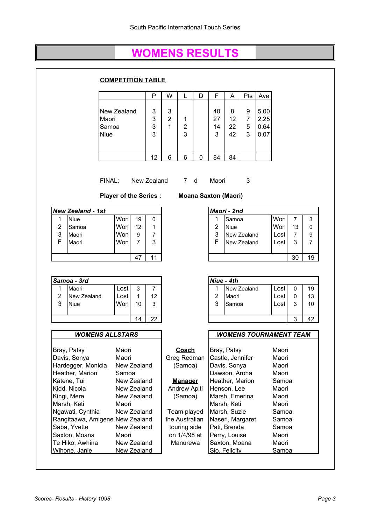### **WOMENS RESULTS**

|                     |                                                                                      | <b>COMPETITION TABLE</b>               |                                     |               |             |             |                                                               |   |                                      |                                                                   |                          |                      |                                  |                           |                |
|---------------------|--------------------------------------------------------------------------------------|----------------------------------------|-------------------------------------|---------------|-------------|-------------|---------------------------------------------------------------|---|--------------------------------------|-------------------------------------------------------------------|--------------------------|----------------------|----------------------------------|---------------------------|----------------|
|                     |                                                                                      |                                        |                                     |               | P           | W           | L                                                             | D | F                                    | Α                                                                 | Pts                      | Ave                  |                                  |                           |                |
|                     |                                                                                      | New Zealand<br>Maori<br>Samoa          |                                     |               | 3<br>3<br>3 | 3<br>2<br>1 | 1<br>$\overline{c}$                                           |   | 40<br>27<br>14                       | 8<br>12<br>22                                                     | 9<br>$\overline{7}$<br>5 | 5.00<br>2.25<br>0.64 |                                  |                           |                |
|                     |                                                                                      | Niue                                   |                                     |               | 3           |             | 3                                                             |   | 3                                    | 42                                                                | 3                        | 0.07                 |                                  |                           |                |
|                     |                                                                                      |                                        |                                     |               | 12          | 6           | 6                                                             | 0 | 84                                   | 84                                                                |                          |                      |                                  |                           |                |
|                     |                                                                                      | FINAL:<br><b>Player of the Series:</b> |                                     |               | New Zealand |             | 7 d                                                           |   | Maori<br><b>Moana Saxton (Maori)</b> |                                                                   | 3                        |                      |                                  |                           |                |
|                     | <b>New Zealand - 1st</b>                                                             |                                        |                                     |               |             |             |                                                               |   |                                      | Maori - 2nd                                                       |                          |                      |                                  |                           |                |
| 1<br>2<br>3         | <b>Niue</b><br>Samoa<br>Maori                                                        |                                        | Won<br>Won<br>Won                   | 19<br>12<br>9 | 0<br>1<br>7 |             |                                                               |   | 1<br>$\overline{2}$<br>3             | Samoa<br><b>Niue</b><br>New Zealand                               |                          |                      | Won<br>Won<br>Lost               | $\overline{7}$<br>13<br>7 | 3<br>0<br>9    |
| F                   | Maori                                                                                |                                        | Won                                 | 7             | 3           |             |                                                               |   | F                                    | New Zealand                                                       |                          |                      | Lost                             | 3                         | $\overline{7}$ |
|                     |                                                                                      |                                        |                                     | 47            | 11          |             |                                                               |   |                                      |                                                                   |                          |                      |                                  | 30                        | 19             |
|                     | Samoa - 3rd                                                                          |                                        |                                     |               |             |             |                                                               |   |                                      | Niue - 4th                                                        |                          |                      |                                  |                           |                |
| 1<br>$\overline{2}$ | Maori<br>New Zealand                                                                 |                                        | Lost<br>Lost                        | 3<br>1        | 7<br>12     |             |                                                               |   | 1<br>2                               | New Zealand<br>Maori                                              |                          |                      | Lost<br>Lost                     | 0<br>0                    | 19<br>13       |
|                     | <b>Niue</b>                                                                          |                                        | Won                                 | 10            | 3           |             |                                                               |   | 3                                    | Samoa                                                             |                          |                      | Lost                             | 3                         | 10             |
| 3                   |                                                                                      |                                        |                                     |               |             |             |                                                               |   |                                      |                                                                   |                          |                      |                                  |                           |                |
|                     |                                                                                      |                                        |                                     | 14            | 22          |             |                                                               |   |                                      |                                                                   |                          |                      |                                  | 3                         |                |
|                     | <b>WOMENS ALLSTARS</b>                                                               |                                        |                                     |               |             |             |                                                               |   |                                      |                                                                   |                          |                      | <b>WOMENS TOURNAMENT TEAM</b>    |                           |                |
|                     | Bray, Patsy<br>Davis, Sonya<br>Hardegger, Monicia                                    |                                        | Maori<br>Maori<br>New Zealand       |               |             |             | <b>Coach</b><br>Greg Redman<br>(Samoa)                        |   |                                      | Bray, Patsy<br>Castle, Jennifer<br>Davis, Sonya                   |                          |                      | Maori<br>Maori<br>Maori          |                           |                |
|                     | Heather, Marion<br>Katene, Tui<br>Kidd, Nicola                                       |                                        | Samoa<br>New Zealand<br>New Zealand |               |             |             | <b>Manager</b><br>Andrew Apiti                                |   |                                      | Dawson, Aroha<br>Heather, Marion<br>Henson, Lee                   |                          |                      | Maori<br>Samoa<br>Maori          |                           |                |
|                     | Kingi, Mere<br>Marsh, Keti                                                           |                                        | New Zealand<br>Maori                |               |             |             | (Samoa)                                                       |   |                                      | Marsh, Emerina<br>Marsh, Keti                                     |                          |                      | Maori<br>Maori                   |                           |                |
|                     | Ngawati, Cynthia<br>Rangitaawa, Amigene New Zealand<br>Saba, Yvette<br>Saxton, Moana |                                        | New Zealand<br>New Zealand<br>Maori |               |             |             | Team played<br>the Australian<br>touring side<br>on 1/4/98 at |   |                                      | Marsh, Suzie<br>Naseri, Margaret<br>Pati, Brenda<br>Perry, Louise |                          |                      | Samoa<br>Samoa<br>Samoa<br>Maori |                           | 42             |